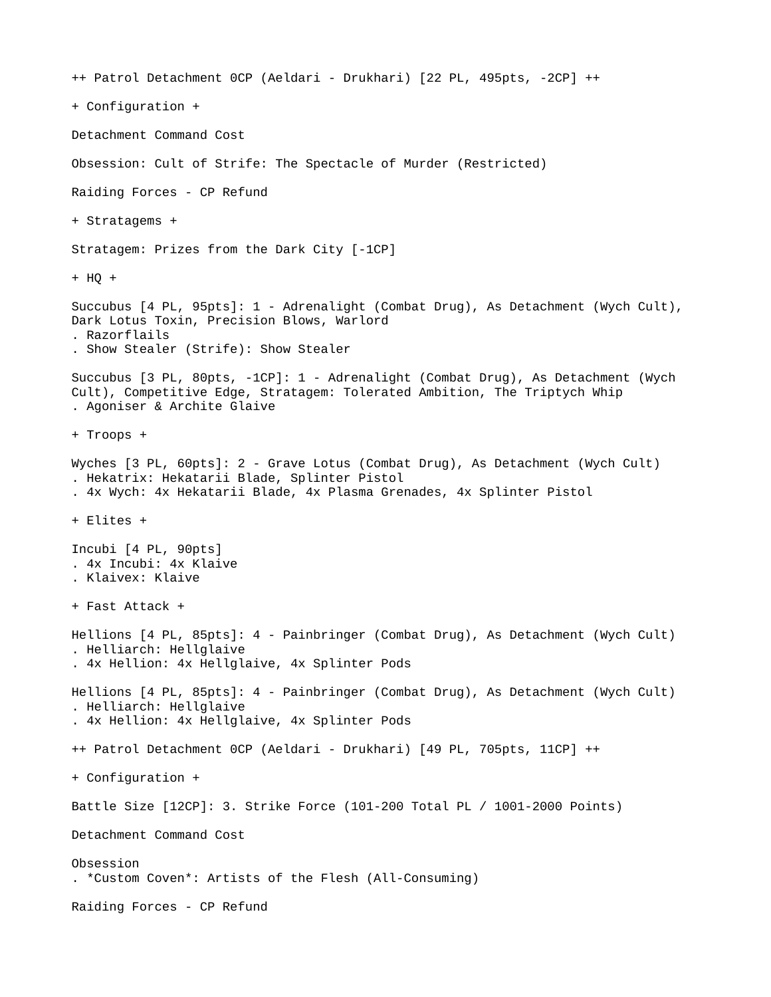++ Patrol Detachment 0CP (Aeldari - Drukhari) [22 PL, 495pts, -2CP] ++ + Configuration + Detachment Command Cost Obsession: Cult of Strife: The Spectacle of Murder (Restricted) Raiding Forces - CP Refund + Stratagems + Stratagem: Prizes from the Dark City [-1CP] + HQ + Succubus [4 PL, 95pts]: 1 - Adrenalight (Combat Drug), As Detachment (Wych Cult), Dark Lotus Toxin, Precision Blows, Warlord . Razorflails . Show Stealer (Strife): Show Stealer Succubus [3 PL, 80pts, -1CP]: 1 - Adrenalight (Combat Drug), As Detachment (Wych Cult), Competitive Edge, Stratagem: Tolerated Ambition, The Triptych Whip . Agoniser & Archite Glaive + Troops + Wyches [3 PL, 60pts]: 2 - Grave Lotus (Combat Drug), As Detachment (Wych Cult) . Hekatrix: Hekatarii Blade, Splinter Pistol . 4x Wych: 4x Hekatarii Blade, 4x Plasma Grenades, 4x Splinter Pistol + Elites + Incubi [4 PL, 90pts] . 4x Incubi: 4x Klaive . Klaivex: Klaive + Fast Attack + Hellions [4 PL, 85pts]: 4 - Painbringer (Combat Drug), As Detachment (Wych Cult) . Helliarch: Hellglaive . 4x Hellion: 4x Hellglaive, 4x Splinter Pods Hellions [4 PL, 85pts]: 4 - Painbringer (Combat Drug), As Detachment (Wych Cult) . Helliarch: Hellglaive . 4x Hellion: 4x Hellglaive, 4x Splinter Pods ++ Patrol Detachment 0CP (Aeldari - Drukhari) [49 PL, 705pts, 11CP] ++ + Configuration + Battle Size [12CP]: 3. Strike Force (101-200 Total PL / 1001-2000 Points) Detachment Command Cost Obsession . \*Custom Coven\*: Artists of the Flesh (All-Consuming) Raiding Forces - CP Refund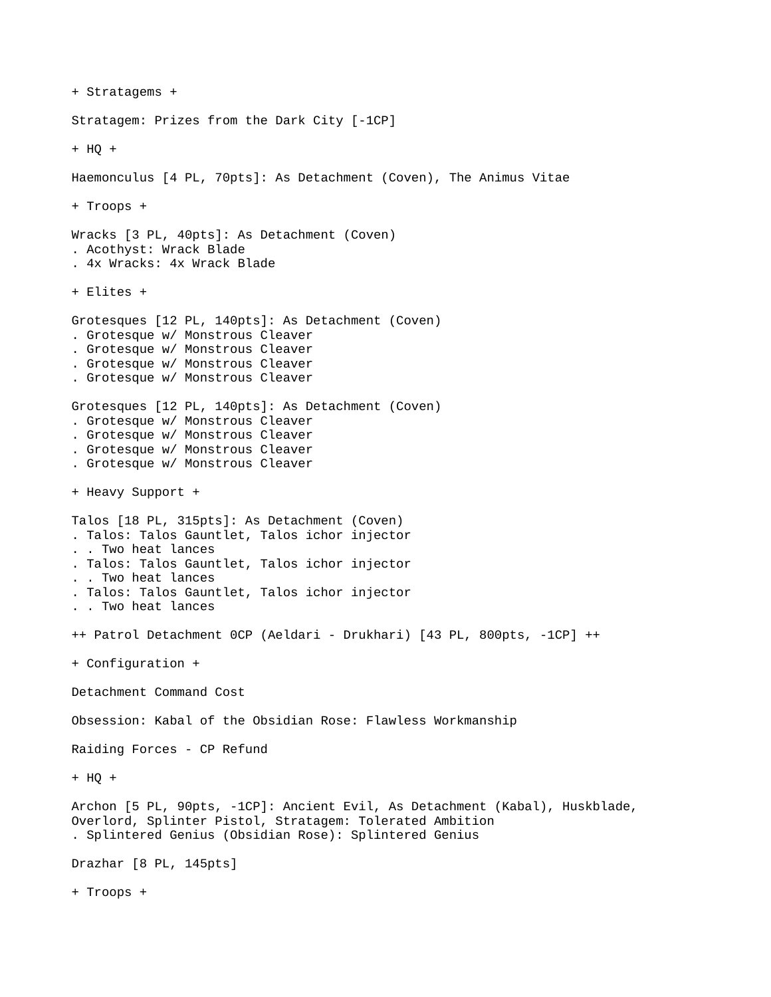```
+ Stratagems +
Stratagem: Prizes from the Dark City [-1CP]
+ HQ +
Haemonculus [4 PL, 70pts]: As Detachment (Coven), The Animus Vitae
+ Troops +
Wracks [3 PL, 40pts]: As Detachment (Coven)
. Acothyst: Wrack Blade
. 4x Wracks: 4x Wrack Blade
+ Elites +
Grotesques [12 PL, 140pts]: As Detachment (Coven)
. Grotesque w/ Monstrous Cleaver
. Grotesque w/ Monstrous Cleaver
. Grotesque w/ Monstrous Cleaver
. Grotesque w/ Monstrous Cleaver
Grotesques [12 PL, 140pts]: As Detachment (Coven)
. Grotesque w/ Monstrous Cleaver
. Grotesque w/ Monstrous Cleaver
. Grotesque w/ Monstrous Cleaver
. Grotesque w/ Monstrous Cleaver
+ Heavy Support +
Talos [18 PL, 315pts]: As Detachment (Coven)
. Talos: Talos Gauntlet, Talos ichor injector
. . Two heat lances
. Talos: Talos Gauntlet, Talos ichor injector
. . Two heat lances
. Talos: Talos Gauntlet, Talos ichor injector
. . Two heat lances
++ Patrol Detachment 0CP (Aeldari - Drukhari) [43 PL, 800pts, -1CP] ++
+ Configuration +
Detachment Command Cost
Obsession: Kabal of the Obsidian Rose: Flawless Workmanship
Raiding Forces - CP Refund
+ HO +Archon [5 PL, 90pts, -1CP]: Ancient Evil, As Detachment (Kabal), Huskblade, 
Overlord, Splinter Pistol, Stratagem: Tolerated Ambition
. Splintered Genius (Obsidian Rose): Splintered Genius
Drazhar [8 PL, 145pts]
+ Troops +
```